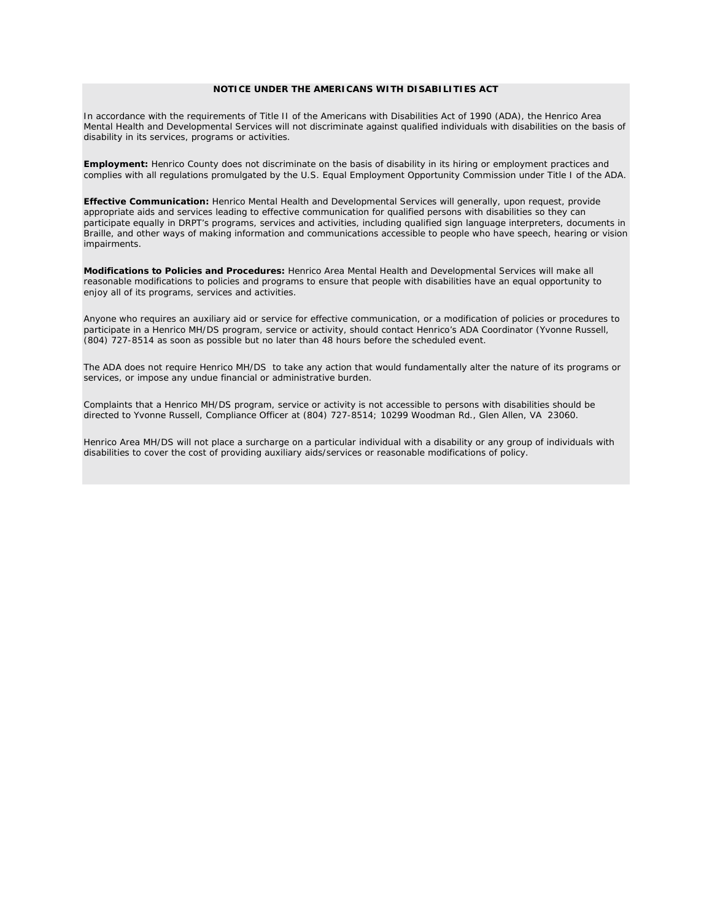## **NOTICE UNDER THE AMERICANS WITH DISABILITIES ACT**

In accordance with the requirements of Title II of the Americans with Disabilities Act of 1990 (ADA), the Henrico Area Mental Health and Developmental Services will not discriminate against qualified individuals with disabilities on the basis of disability in its services, programs or activities.

**Employment:** Henrico County does not discriminate on the basis of disability in its hiring or employment practices and complies with all regulations promulgated by the U.S. Equal Employment Opportunity Commission under Title I of the ADA.

**Effective Communication:** Henrico Mental Health and Developmental Services will generally, upon request, provide appropriate aids and services leading to effective communication for qualified persons with disabilities so they can participate equally in DRPT's programs, services and activities, including qualified sign language interpreters, documents in Braille, and other ways of making information and communications accessible to people who have speech, hearing or vision impairments.

**Modifications to Policies and Procedures:** Henrico Area Mental Health and Developmental Services will make all reasonable modifications to policies and programs to ensure that people with disabilities have an equal opportunity to enjoy all of its programs, services and activities.

Anyone who requires an auxiliary aid or service for effective communication, or a modification of policies or procedures to participate in a Henrico MH/DS program, service or activity, should contact Henrico's ADA Coordinator (Yvonne Russell, (804) 727-8514 as soon as possible but no later than 48 hours before the scheduled event.

The ADA does not require Henrico MH/DS to take any action that would fundamentally alter the nature of its programs or services, or impose any undue financial or administrative burden.

Complaints that a Henrico MH/DS program, service or activity is not accessible to persons with disabilities should be directed to Yvonne Russell, Compliance Officer at (804) 727-8514; 10299 Woodman Rd., Glen Allen, VA 23060.

Henrico Area MH/DS will not place a surcharge on a particular individual with a disability or any group of individuals with disabilities to cover the cost of providing auxiliary aids/services or reasonable modifications of policy.